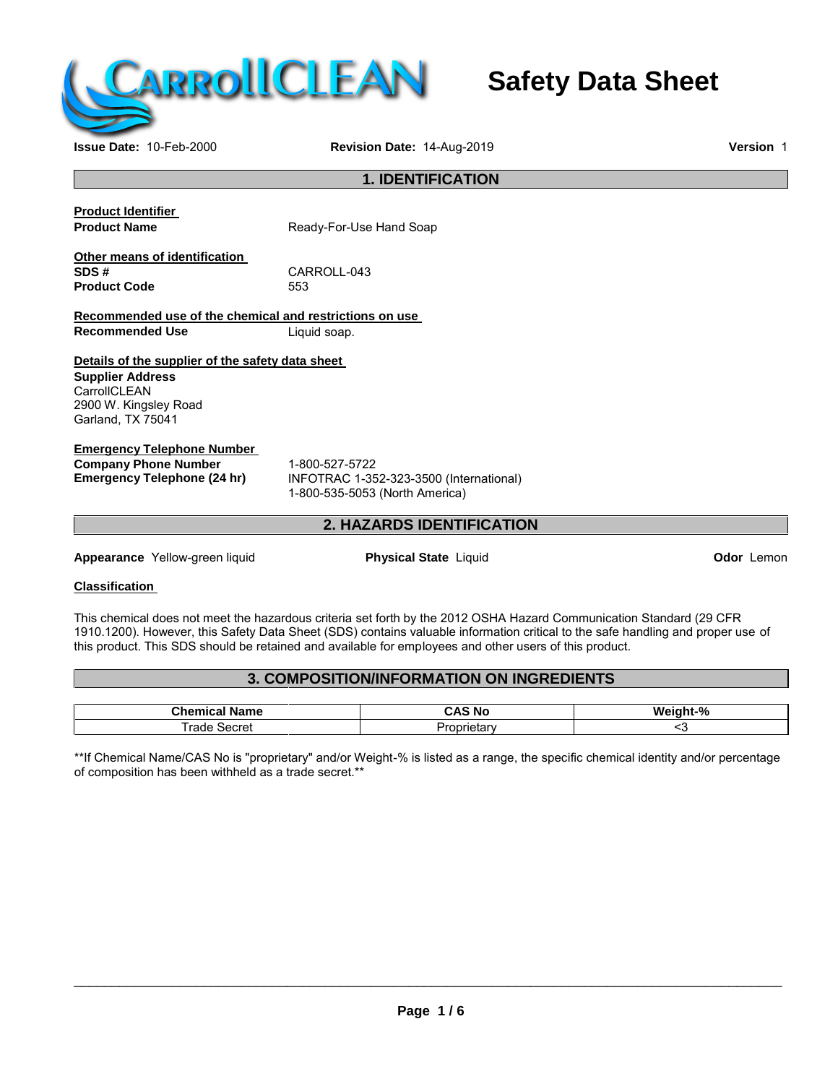

## **Safety Data Sheet**

**Issue Date:** 10-Feb-2000 **Revision Date:** 14-Aug-2019 **Version** 1

## **1. IDENTIFICATION**

**Product Identifier**

**Ready-For-Use Hand Soap** 

**Other means of identification Product Code** 

CARROLL-043<br>553

**Recommended use of the chemical and restrictions on use Recommended Use** Liquid soap.

**Details of the supplier of the safety data sheet Supplier Address**

**CarrollCLEAN** 2900 W. Kingsley Road Garland, TX 75041

## **Emergency Telephone Number**

**Company Phone Number** 1-800-527-5722<br> **Emergency Telephone (24 hr)** INFOTRAC 1-35

**Emergency Telephone (24 hr)** INFOTRAC 1-352-323-3500 (International) 1-800-535-5053 (North America)

## **2. HAZARDS IDENTIFICATION**

**Appearance** Yellow-green liquid **Physical State** Liquid **Odor** Lemon

## **Classification**

This chemical does not meet the hazardous criteria set forth by the 2012 OSHA Hazard Communication Standard (29 CFR 1910.1200). However, this Safety Data Sheet (SDS) contains valuable information critical to the safe handling and proper use of this product. This SDS should be retained and available for employees and other users of this product.

## **3. COMPOSITION/INFORMATION ON INGREDIENTS**

| Chemi<br>---<br>iame | - -<br><b>NC</b><br> | $-96$<br>.<br>Mr.<br>∖iaht. |
|----------------------|----------------------|-----------------------------|
| $\sim$<br>Secret     | $ -$<br>star         |                             |

\*\*If Chemical Name/CAS No is "proprietary" and/or Weight-% is listed as a range, the specific chemical identity and/or percentage of composition has been withheld as a trade secret.\*\*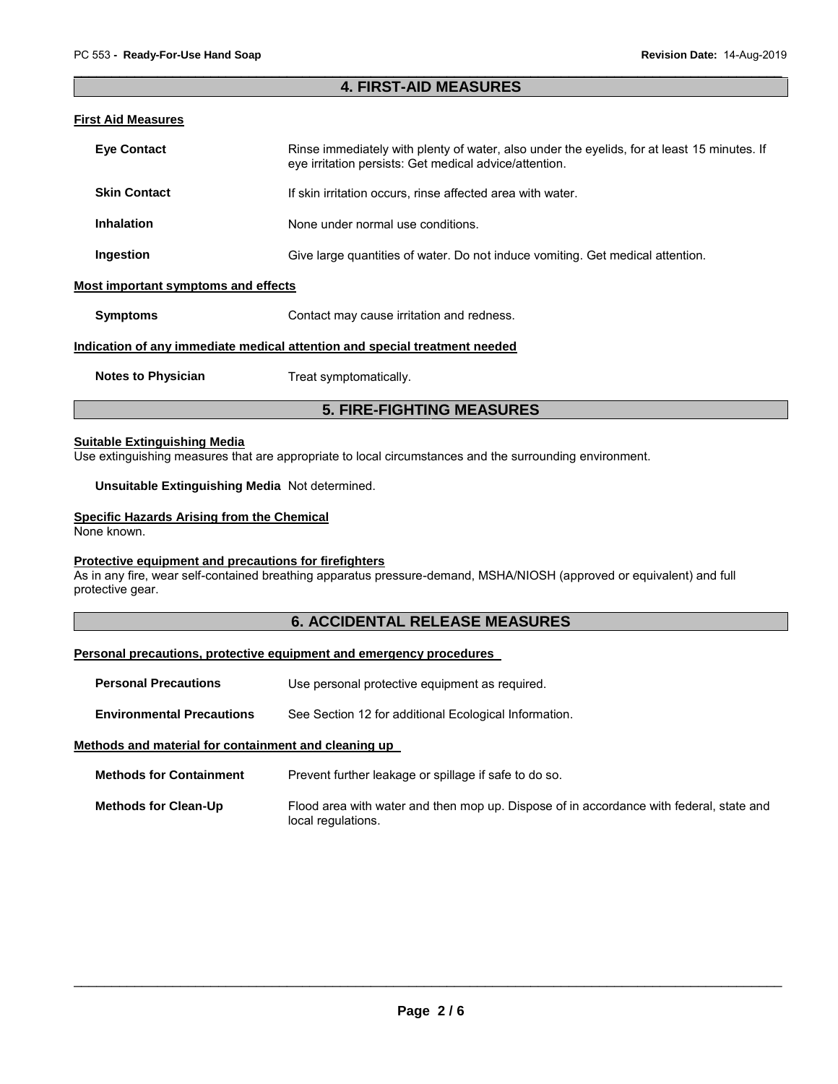## **4. FIRST-AID MEASURES**

## **First Aid Measures**

| <b>Eye Contact</b>                  | Rinse immediately with plenty of water, also under the eyelids, for at least 15 minutes. If<br>eye irritation persists: Get medical advice/attention. |
|-------------------------------------|-------------------------------------------------------------------------------------------------------------------------------------------------------|
| <b>Skin Contact</b>                 | If skin irritation occurs, rinse affected area with water.                                                                                            |
| <b>Inhalation</b>                   | None under normal use conditions.                                                                                                                     |
| Ingestion                           | Give large quantities of water. Do not induce vomiting. Get medical attention.                                                                        |
| Most important symptoms and effects |                                                                                                                                                       |
| <b>Symptoms</b>                     | Contact may cause irritation and redness.                                                                                                             |
|                                     | Indication of any immediate medical attention and special treatment needed                                                                            |

**Notes to Physician** Treat symptomatically.

## **5. FIRE-FIGHTING MEASURES**

## **Suitable Extinguishing Media**

Use extinguishing measures that are appropriate to local circumstances and the surrounding environment.

## **Unsuitable Extinguishing Media** Not determined.

## **Specific Hazards Arising from the Chemical**

None known.

## **Protective equipment and precautions for firefighters**

As in any fire, wear self-contained breathing apparatus pressure-demand, MSHA/NIOSH (approved or equivalent) and full protective gear.

## **6. ACCIDENTAL RELEASE MEASURES**

## **Personal precautions, protective equipment and emergency procedures**

**Personal Precautions** Use personal protective equipment as required.

**Environmental Precautions** See Section 12 for additional Ecological Information.

## **Methods and material for containment and cleaning up**

| <b>Methods for Containment</b> | Prevent further leakage or spillage if safe to do so. |
|--------------------------------|-------------------------------------------------------|
|--------------------------------|-------------------------------------------------------|

**Methods for Clean-Up** Flood area with water and then mop up. Dispose of in accordance with federal, state and local regulations.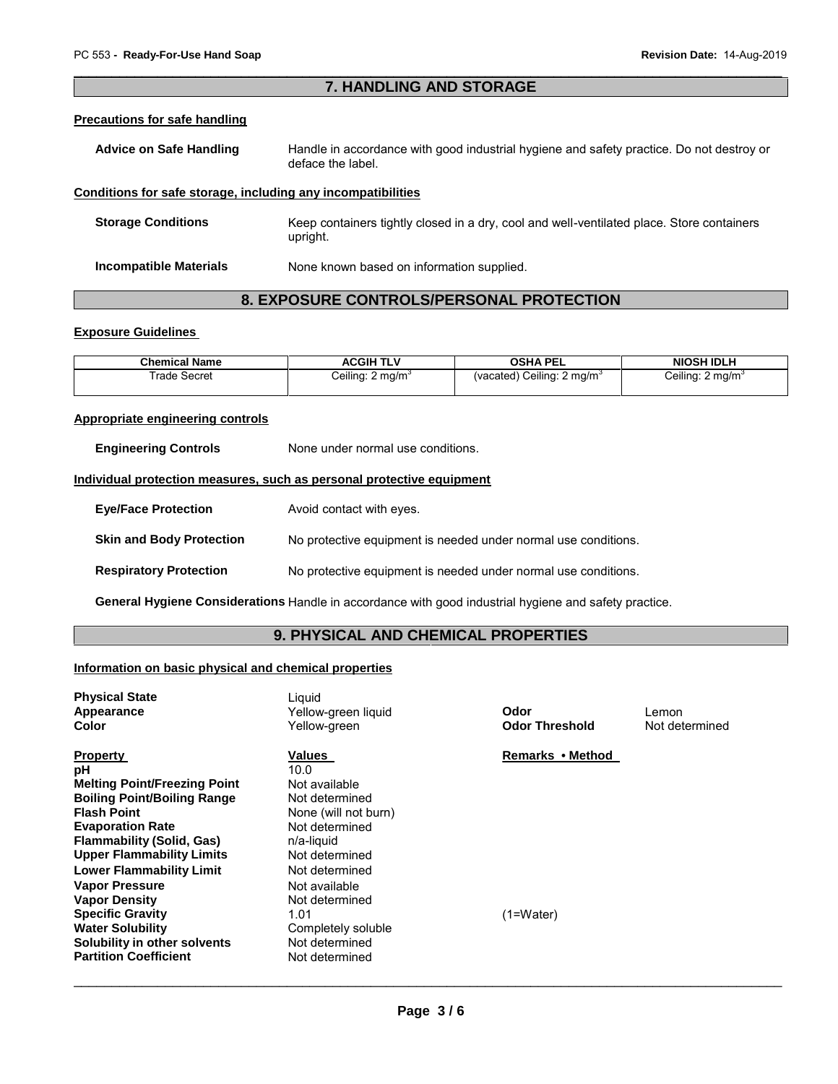## **7. HANDLING AND STORAGE**

### **Precautions for safe handling**

| <b>Advice on Safe Handling</b> | Handle in accordance with good industrial hygiene and safety practice. Do not destroy or |
|--------------------------------|------------------------------------------------------------------------------------------|
|                                | deface the label.                                                                        |

## **Conditions for safe storage, including any incompatibilities**

| <b>Storage Conditions</b>     | Keep containers tightly closed in a dry, cool and well-ventilated place. Store containers<br>upright. |
|-------------------------------|-------------------------------------------------------------------------------------------------------|
| <b>Incompatible Materials</b> | None known based on information supplied.                                                             |

## **8. EXPOSURE CONTROLS/PERSONAL PROTECTION**

## **Exposure Guidelines**

| <b>Chemical Name</b> | ACGIH TLV                    | OSHA PEL                              | <b>NIOSH IDLH</b>            |
|----------------------|------------------------------|---------------------------------------|------------------------------|
| ⊺rade Secret         | Ceiling: 2 mg/m <sup>3</sup> | (vacated) Ceiling: $2 \text{ mg/m}^3$ | Ceiling: 2 mg/m <sup>3</sup> |

## **Appropriate engineering controls**

**Engineering Controls** None under normal use conditions.

## **Individual protection measures, such as personal protective equipment**

| <b>Eye/Face Protection</b>      | Avoid contact with eyes.                                       |
|---------------------------------|----------------------------------------------------------------|
| <b>Skin and Body Protection</b> | No protective equipment is needed under normal use conditions. |
| <b>Respiratory Protection</b>   | No protective equipment is needed under normal use conditions. |

**General Hygiene Considerations** Handle in accordance with good industrial hygiene and safety practice.

## **9. PHYSICAL AND CHEMICAL PROPERTIES**

## **Information on basic physical and chemical properties**

| <b>Physical State</b><br>Appearance<br>Color                                                                                                                                                                                                                                                                                                                                                                                          | Liquid<br>Yellow-green liguid<br>Yellow-green                                                                                                                                                                                                      | Odor<br><b>Odor Threshold</b> | Lemon<br>Not determined |
|---------------------------------------------------------------------------------------------------------------------------------------------------------------------------------------------------------------------------------------------------------------------------------------------------------------------------------------------------------------------------------------------------------------------------------------|----------------------------------------------------------------------------------------------------------------------------------------------------------------------------------------------------------------------------------------------------|-------------------------------|-------------------------|
| <b>Property</b><br>рH<br><b>Melting Point/Freezing Point</b><br><b>Boiling Point/Boiling Range</b><br><b>Flash Point</b><br><b>Evaporation Rate</b><br><b>Flammability (Solid, Gas)</b><br><b>Upper Flammability Limits</b><br><b>Lower Flammability Limit</b><br><b>Vapor Pressure</b><br><b>Vapor Density</b><br><b>Specific Gravity</b><br><b>Water Solubility</b><br>Solubility in other solvents<br><b>Partition Coefficient</b> | Values<br>10.0<br>Not available<br>Not determined<br>None (will not burn)<br>Not determined<br>n/a-liquid<br>Not determined<br>Not determined<br>Not available<br>Not determined<br>1.01<br>Completely soluble<br>Not determined<br>Not determined | Remarks • Method<br>(1=Water) |                         |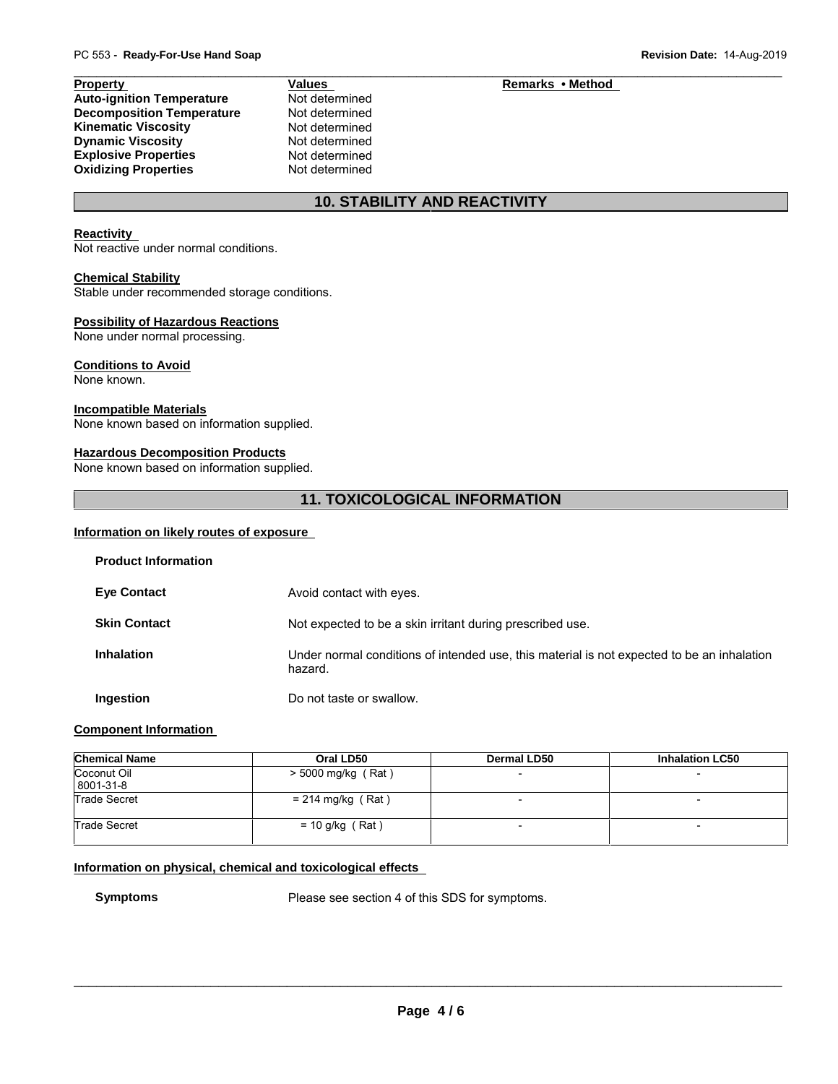## **Property Values Remarks • Method**

| <b>Auto-ignition Temperature</b> |  |
|----------------------------------|--|
| <b>Decomposition Temperature</b> |  |
| <b>Kinematic Viscosity</b>       |  |
| <b>Dynamic Viscosity</b>         |  |
| <b>Explosive Properties</b>      |  |
| <b>Oxidizing Properties</b>      |  |

**Not determined Not determined Not determined Not determined Not determined Not determined** 

## **10. STABILITY AND REACTIVITY**

## **Reactivity**

Not reactive under normal conditions.

## **Chemical Stability**

Stable under recommended storage conditions.

## **Possibility of Hazardous Reactions**

None under normal processing.

## **Conditions to Avoid**

None known.

## **Incompatible Materials**

None known based on information supplied.

## **Hazardous Decomposition Products**

None known based on information supplied.

## **11. TOXICOLOGICAL INFORMATION**

## **Information on likely routes of exposure**

| <b>Product Information</b> |                                                                                                       |
|----------------------------|-------------------------------------------------------------------------------------------------------|
| <b>Eye Contact</b>         | Avoid contact with eyes.                                                                              |
| <b>Skin Contact</b>        | Not expected to be a skin irritant during prescribed use.                                             |
| <b>Inhalation</b>          | Under normal conditions of intended use, this material is not expected to be an inhalation<br>hazard. |
| Ingestion                  | Do not taste or swallow.                                                                              |

## **Component Information**

| <b>Chemical Name</b>     | Oral LD50            | Dermal LD50 | <b>Inhalation LC50</b>   |
|--------------------------|----------------------|-------------|--------------------------|
| Coconut Oil<br>8001-31-8 | $>$ 5000 mg/kg (Rat) |             |                          |
| <b>Trade Secret</b>      | $= 214$ mg/kg (Rat)  |             |                          |
| <b>Trade Secret</b>      | $= 10$ g/kg (Rat)    |             | $\overline{\phantom{0}}$ |

## **Information on physical, chemical and toxicological effects**

**Symptoms** Please see section 4 of this SDS for symptoms.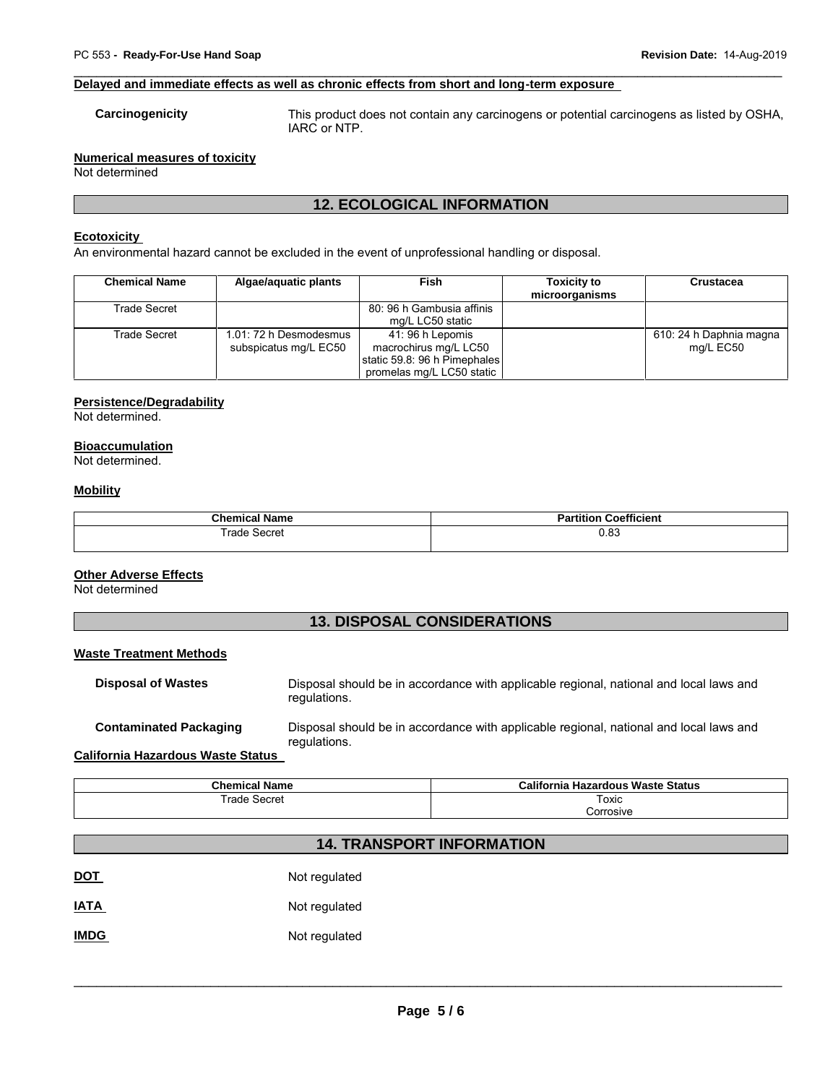# PC 553 - Ready-For-Use Hand Soap<br> **Revision Date:** 14-Aug-2019<br> **Revision Date:** 14-Aug-2019 **Delayed and immediate effects as well as chronic effects from short and long-term exposure**

**Carcinogenicity** This product does not contain any carcinogens or potential carcinogens as listed by OSHA, IARC or NTP.

## **Numerical measures of toxicity**

Not determined

## **12. ECOLOGICAL INFORMATION**

## **Ecotoxicity**

An environmental hazard cannot be excluded in the event of unprofessional handling or disposal.

| <b>Chemical Name</b> | Algae/aquatic plants                            | <b>Fish</b>                                                                                            | <b>Toxicity to</b><br>microorganisms | Crustacea                            |
|----------------------|-------------------------------------------------|--------------------------------------------------------------------------------------------------------|--------------------------------------|--------------------------------------|
| Trade Secret         |                                                 | 80: 96 h Gambusia affinis<br>mg/L LC50 static                                                          |                                      |                                      |
| Trade Secret         | 1.01: 72 h Desmodesmus<br>subspicatus mg/L EC50 | 41: 96 h Lepomis<br>macrochirus mg/L LC50<br>static 59.8: 96 h Pimephales<br>promelas mg/L LC50 static |                                      | 610: 24 h Daphnia magna<br>mg/L EC50 |

## **Persistence/Degradability**

Not determined.

## **Bioaccumulation**

Not determined.

## **Mobility**

| <b>Chemical Name</b> | <br>Partition<br>Coefficient |
|----------------------|------------------------------|
| Trade<br>Secret      | 0.83                         |

## **Other Adverse Effects**

Not determined

## **13. DISPOSAL CONSIDERATIONS**

## **Waste Treatment Methods**

| <b>Disposal of Wastes</b>     | Disposal should be in accordance with applicable regional, national and local laws and<br>regulations. |
|-------------------------------|--------------------------------------------------------------------------------------------------------|
| <b>Contaminated Packaging</b> | Disposal should be in accordance with applicable regional, national and local laws and<br>regulations. |

**California Hazardous Waste Status**

| <b>Chemical Name</b> | California Hazardous Waste Status |  |
|----------------------|-----------------------------------|--|
| ∘ Secret<br>rade     | Гохіс<br>____                     |  |
|                      | 'orrosive                         |  |

## **14. TRANSPORT INFORMATION**

| <b>DOT</b>  | Not regulated |
|-------------|---------------|
| <b>IATA</b> | Not regulated |
| <b>IMDG</b> | Not regulated |